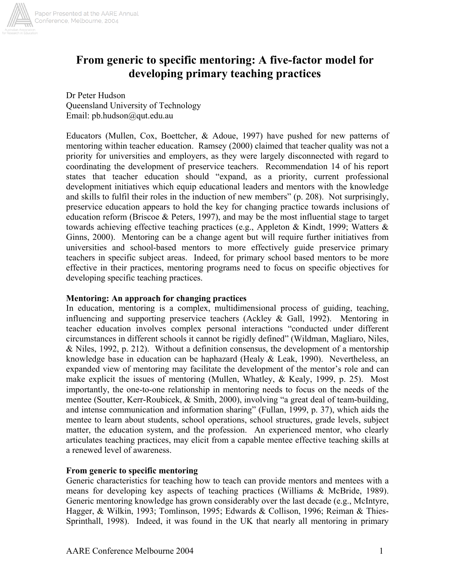

# **From generic to specific mentoring: A five-factor model for developing primary teaching practices**

Dr Peter Hudson Queensland University of Technology Email: pb.hudson@qut.edu.au

Educators (Mullen, Cox, Boettcher, & Adoue, 1997) have pushed for new patterns of mentoring within teacher education. Ramsey (2000) claimed that teacher quality was not a priority for universities and employers, as they were largely disconnected with regard to coordinating the development of preservice teachers. Recommendation 14 of his report states that teacher education should "expand, as a priority, current professional development initiatives which equip educational leaders and mentors with the knowledge and skills to fulfil their roles in the induction of new members" (p. 208). Not surprisingly, preservice education appears to hold the key for changing practice towards inclusions of education reform (Briscoe & Peters, 1997), and may be the most influential stage to target towards achieving effective teaching practices (e.g., Appleton & Kindt, 1999; Watters  $\&$ Ginns, 2000). Mentoring can be a change agent but will require further initiatives from universities and school-based mentors to more effectively guide preservice primary teachers in specific subject areas. Indeed, for primary school based mentors to be more effective in their practices, mentoring programs need to focus on specific objectives for developing specific teaching practices.

#### **Mentoring: An approach for changing practices**

In education, mentoring is a complex, multidimensional process of guiding, teaching, influencing and supporting preservice teachers (Ackley & Gall, 1992). Mentoring in teacher education involves complex personal interactions "conducted under different circumstances in different schools it cannot be rigidly defined" (Wildman, Magliaro, Niles, & Niles, 1992, p. 212). Without a definition consensus, the development of a mentorship knowledge base in education can be haphazard (Healy & Leak, 1990). Nevertheless, an expanded view of mentoring may facilitate the development of the mentor's role and can make explicit the issues of mentoring (Mullen, Whatley, & Kealy, 1999, p. 25). Most importantly, the one-to-one relationship in mentoring needs to focus on the needs of the mentee (Soutter, Kerr-Roubicek, & Smith, 2000), involving "a great deal of team-building, and intense communication and information sharing" (Fullan, 1999, p. 37), which aids the mentee to learn about students, school operations, school structures, grade levels, subject matter, the education system, and the profession. An experienced mentor, who clearly articulates teaching practices, may elicit from a capable mentee effective teaching skills at a renewed level of awareness.

# **From generic to specific mentoring**

Generic characteristics for teaching how to teach can provide mentors and mentees with a means for developing key aspects of teaching practices (Williams & McBride, 1989). Generic mentoring knowledge has grown considerably over the last decade (e.g., McIntyre, Hagger, & Wilkin, 1993; Tomlinson, 1995; Edwards & Collison, 1996; Reiman & Thies-Sprinthall, 1998). Indeed, it was found in the UK that nearly all mentoring in primary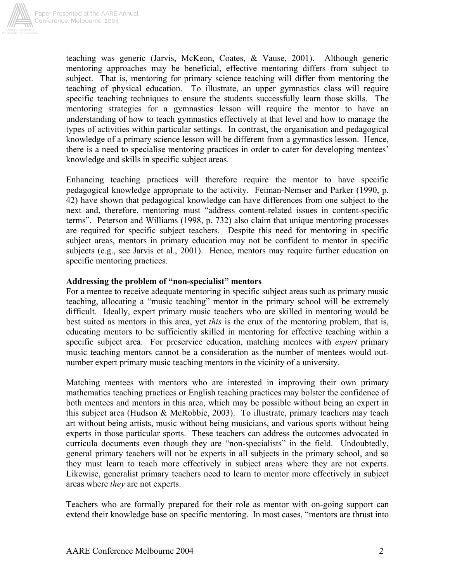

teaching was generic (Jarvis, McKeon, Coates, & Vause, 2001). Although generic mentoring approaches may be beneficial, effective mentoring differs from subject to subject. That is, mentoring for primary science teaching will differ from mentoring the teaching of physical education. To illustrate, an upper gymnastics class will require specific teaching techniques to ensure the students successfully learn those skills. The mentoring strategies for a gymnastics lesson will require the mentor to have an understanding of how to teach gymnastics effectively at that level and how to manage the types of activities within particular settings. In contrast, the organisation and pedagogical knowledge of a primary science lesson will be different from a gymnastics lesson. Hence, there is a need to specialise mentoring practices in order to cater for developing mentees' knowledge and skills in specific subject areas.

Enhancing teaching practices will therefore require the mentor to have specific pedagogical knowledge appropriate to the activity. Feiman-Nemser and Parker (1990, p. 42) have shown that pedagogical knowledge can have differences from one subject to the next and, therefore, mentoring must "address content-related issues in content-specific terms". Peterson and Williams (1998, p. 732) also claim that unique mentoring processes are required for specific subject teachers. Despite this need for mentoring in specific subject areas, mentors in primary education may not be confident to mentor in specific subjects (e.g., see Jarvis et al., 2001). Hence, mentors may require further education on specific mentoring practices.

# **Addressing the problem of "non-specialist" mentors**

For a mentee to receive adequate mentoring in specific subject areas such as primary music teaching, allocating a "music teaching" mentor in the primary school will be extremely difficult. Ideally, expert primary music teachers who are skilled in mentoring would be best suited as mentors in this area, yet *this* is the crux of the mentoring problem, that is, educating mentors to be sufficiently skilled in mentoring for effective teaching within a specific subject area. For preservice education, matching mentees with *expert* primary music teaching mentors cannot be a consideration as the number of mentees would outnumber expert primary music teaching mentors in the vicinity of a university.

Matching mentees with mentors who are interested in improving their own primary mathematics teaching practices or English teaching practices may bolster the confidence of both mentees and mentors in this area, which may be possible without being an expert in this subject area (Hudson & McRobbie, 2003). To illustrate, primary teachers may teach art without being artists, music without being musicians, and various sports without being experts in those particular sports. These teachers can address the outcomes advocated in curricula documents even though they are "non-specialists" in the field. Undoubtedly, general primary teachers will not be experts in all subjects in the primary school, and so they must learn to teach more effectively in subject areas where they are not experts. Likewise, generalist primary teachers need to learn to mentor more effectively in subject areas where *they* are not experts.

Teachers who are formally prepared for their role as mentor with on-going support can extend their knowledge base on specific mentoring. In most cases, "mentors are thrust into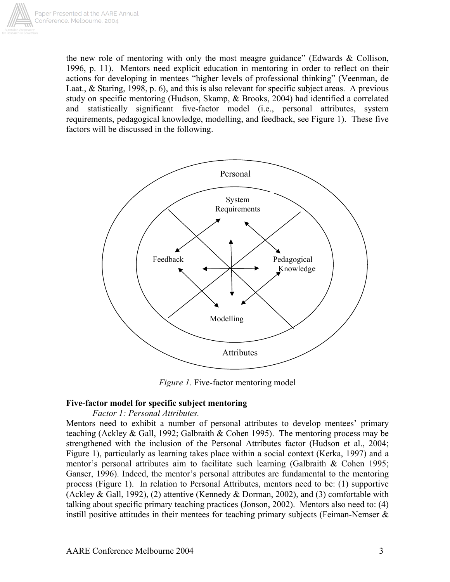

the new role of mentoring with only the most meagre guidance" (Edwards & Collison, 1996, p. 11). Mentors need explicit education in mentoring in order to reflect on their actions for developing in mentees "higher levels of professional thinking" (Veenman, de Laat., & Staring, 1998, p. 6), and this is also relevant for specific subject areas. A previous study on specific mentoring (Hudson, Skamp, & Brooks, 2004) had identified a correlated and statistically significant five-factor model (i.e., personal attributes, system requirements, pedagogical knowledge, modelling, and feedback, see Figure 1). These five factors will be discussed in the following.



*Figure 1.* Five-factor mentoring model

#### **Five-factor model for specific subject mentoring**

#### *Factor 1: Personal Attributes.*

Mentors need to exhibit a number of personal attributes to develop mentees' primary teaching (Ackley & Gall, 1992; Galbraith & Cohen 1995). The mentoring process may be strengthened with the inclusion of the Personal Attributes factor (Hudson et al., 2004; Figure 1), particularly as learning takes place within a social context (Kerka, 1997) and a mentor's personal attributes aim to facilitate such learning (Galbraith & Cohen 1995; Ganser, 1996). Indeed, the mentor's personal attributes are fundamental to the mentoring process (Figure 1). In relation to Personal Attributes, mentors need to be: (1) supportive (Ackley & Gall, 1992), (2) attentive (Kennedy & Dorman, 2002), and (3) comfortable with talking about specific primary teaching practices (Jonson, 2002). Mentors also need to: (4) instill positive attitudes in their mentees for teaching primary subjects (Feiman-Nemser &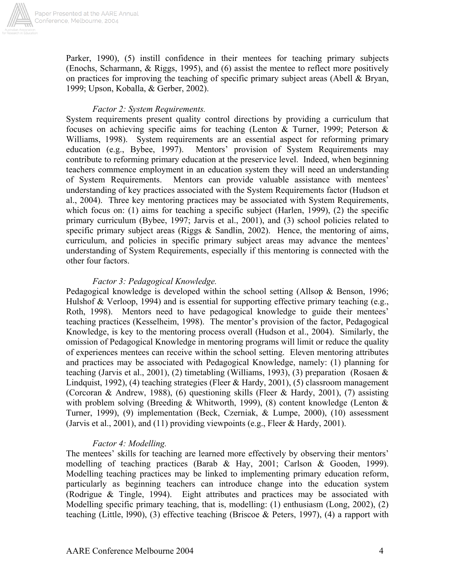

Paper Presented at the AARE Annual Conference, Melbourne, 2004

> Parker, 1990), (5) instill confidence in their mentees for teaching primary subjects (Enochs, Scharmann, & Riggs, 1995), and (6) assist the mentee to reflect more positively on practices for improving the teaching of specific primary subject areas (Abell & Bryan, 1999; Upson, Koballa, & Gerber, 2002).

## *Factor 2: System Requirements.*

System requirements present quality control directions by providing a curriculum that focuses on achieving specific aims for teaching (Lenton & Turner, 1999; Peterson & Williams, 1998). System requirements are an essential aspect for reforming primary education (e.g., Bybee, 1997). Mentors' provision of System Requirements may contribute to reforming primary education at the preservice level. Indeed, when beginning teachers commence employment in an education system they will need an understanding of System Requirements. Mentors can provide valuable assistance with mentees' understanding of key practices associated with the System Requirements factor (Hudson et al., 2004). Three key mentoring practices may be associated with System Requirements, which focus on: (1) aims for teaching a specific subject (Harlen, 1999), (2) the specific primary curriculum (Bybee, 1997; Jarvis et al., 2001), and (3) school policies related to specific primary subject areas (Riggs  $\&$  Sandlin, 2002). Hence, the mentoring of aims, curriculum, and policies in specific primary subject areas may advance the mentees' understanding of System Requirements, especially if this mentoring is connected with the other four factors.

## *Factor 3: Pedagogical Knowledge.*

Pedagogical knowledge is developed within the school setting (Allsop & Benson, 1996; Hulshof & Verloop, 1994) and is essential for supporting effective primary teaching (e.g., Roth, 1998). Mentors need to have pedagogical knowledge to guide their mentees' teaching practices (Kesselheim, 1998). The mentor's provision of the factor, Pedagogical Knowledge, is key to the mentoring process overall (Hudson et al., 2004). Similarly, the omission of Pedagogical Knowledge in mentoring programs will limit or reduce the quality of experiences mentees can receive within the school setting. Eleven mentoring attributes and practices may be associated with Pedagogical Knowledge, namely: (1) planning for teaching (Jarvis et al., 2001), (2) timetabling (Williams, 1993), (3) preparation (Rosaen & Lindquist, 1992), (4) teaching strategies (Fleer & Hardy, 2001), (5) classroom management (Corcoran & Andrew, 1988), (6) questioning skills (Fleer & Hardy, 2001), (7) assisting with problem solving (Breeding & Whitworth, 1999), (8) content knowledge (Lenton & Turner, 1999), (9) implementation (Beck, Czerniak, & Lumpe, 2000), (10) assessment (Jarvis et al., 2001), and (11) providing viewpoints (e.g., Fleer & Hardy, 2001).

# *Factor 4: Modelling.*

The mentees' skills for teaching are learned more effectively by observing their mentors' modelling of teaching practices (Barab & Hay, 2001; Carlson & Gooden, 1999). Modelling teaching practices may be linked to implementing primary education reform, particularly as beginning teachers can introduce change into the education system (Rodrigue & Tingle, 1994). Eight attributes and practices may be associated with Modelling specific primary teaching, that is, modelling: (1) enthusiasm (Long, 2002), (2) teaching (Little, l990), (3) effective teaching (Briscoe & Peters, 1997), (4) a rapport with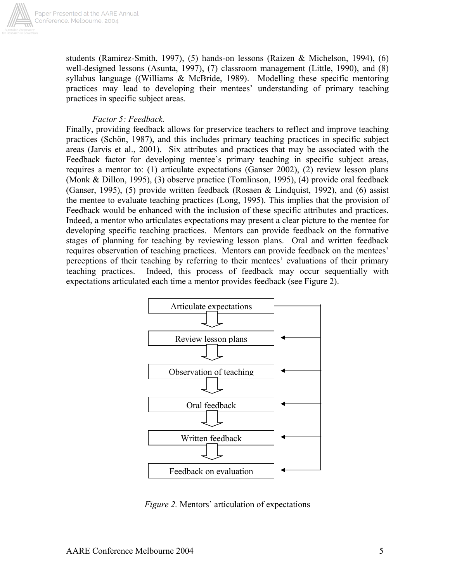

students (Ramirez-Smith, 1997), (5) hands-on lessons (Raizen & Michelson, 1994), (6) well-designed lessons (Asunta, 1997), (7) classroom management (Little, 1990), and (8) syllabus language ((Williams & McBride, 1989). Modelling these specific mentoring practices may lead to developing their mentees' understanding of primary teaching practices in specific subject areas.

#### *Factor 5: Feedback.*

Finally, providing feedback allows for preservice teachers to reflect and improve teaching practices (Schön, 1987), and this includes primary teaching practices in specific subject areas (Jarvis et al., 2001). Six attributes and practices that may be associated with the Feedback factor for developing mentee's primary teaching in specific subject areas, requires a mentor to: (1) articulate expectations (Ganser 2002), (2) review lesson plans (Monk & Dillon, 1995), (3) observe practice (Tomlinson, 1995), (4) provide oral feedback (Ganser, 1995), (5) provide written feedback (Rosaen & Lindquist, 1992), and (6) assist the mentee to evaluate teaching practices (Long, 1995). This implies that the provision of Feedback would be enhanced with the inclusion of these specific attributes and practices. Indeed, a mentor who articulates expectations may present a clear picture to the mentee for developing specific teaching practices. Mentors can provide feedback on the formative stages of planning for teaching by reviewing lesson plans. Oral and written feedback requires observation of teaching practices. Mentors can provide feedback on the mentees' perceptions of their teaching by referring to their mentees' evaluations of their primary teaching practices. Indeed, this process of feedback may occur sequentially with expectations articulated each time a mentor provides feedback (see Figure 2).



*Figure 2.* Mentors' articulation of expectations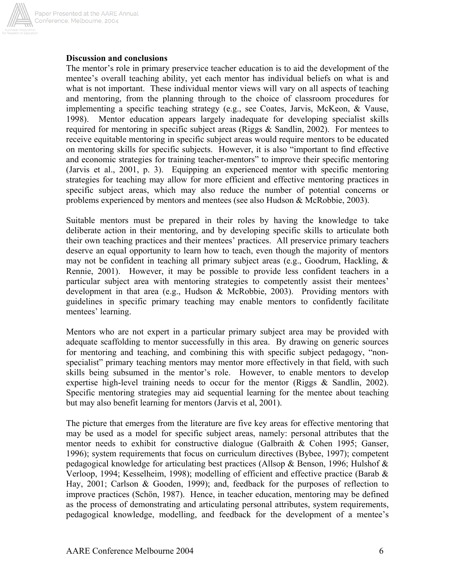

## **Discussion and conclusions**

The mentor's role in primary preservice teacher education is to aid the development of the mentee's overall teaching ability, yet each mentor has individual beliefs on what is and what is not important. These individual mentor views will vary on all aspects of teaching and mentoring, from the planning through to the choice of classroom procedures for implementing a specific teaching strategy (e.g., see Coates, Jarvis, McKeon, & Vause, 1998). Mentor education appears largely inadequate for developing specialist skills required for mentoring in specific subject areas (Riggs & Sandlin, 2002). For mentees to receive equitable mentoring in specific subject areas would require mentors to be educated on mentoring skills for specific subjects. However, it is also "important to find effective and economic strategies for training teacher-mentors" to improve their specific mentoring (Jarvis et al., 2001, p. 3). Equipping an experienced mentor with specific mentoring strategies for teaching may allow for more efficient and effective mentoring practices in specific subject areas, which may also reduce the number of potential concerns or problems experienced by mentors and mentees (see also Hudson & McRobbie, 2003).

Suitable mentors must be prepared in their roles by having the knowledge to take deliberate action in their mentoring, and by developing specific skills to articulate both their own teaching practices and their mentees' practices. All preservice primary teachers deserve an equal opportunity to learn how to teach, even though the majority of mentors may not be confident in teaching all primary subject areas (e.g., Goodrum, Hackling,  $\&$ Rennie, 2001). However, it may be possible to provide less confident teachers in a particular subject area with mentoring strategies to competently assist their mentees' development in that area (e.g., Hudson & McRobbie, 2003). Providing mentors with guidelines in specific primary teaching may enable mentors to confidently facilitate mentees' learning.

Mentors who are not expert in a particular primary subject area may be provided with adequate scaffolding to mentor successfully in this area. By drawing on generic sources for mentoring and teaching, and combining this with specific subject pedagogy, "nonspecialist" primary teaching mentors may mentor more effectively in that field, with such skills being subsumed in the mentor's role. However, to enable mentors to develop expertise high-level training needs to occur for the mentor (Riggs & Sandlin, 2002). Specific mentoring strategies may aid sequential learning for the mentee about teaching but may also benefit learning for mentors (Jarvis et al, 2001).

The picture that emerges from the literature are five key areas for effective mentoring that may be used as a model for specific subject areas, namely: personal attributes that the mentor needs to exhibit for constructive dialogue (Galbraith & Cohen 1995; Ganser, 1996); system requirements that focus on curriculum directives (Bybee, 1997); competent pedagogical knowledge for articulating best practices (Allsop & Benson, 1996; Hulshof  $\&$ Verloop, 1994; Kesselheim, 1998); modelling of efficient and effective practice (Barab & Hay, 2001; Carlson & Gooden, 1999); and, feedback for the purposes of reflection to improve practices (Schön, 1987). Hence, in teacher education, mentoring may be defined as the process of demonstrating and articulating personal attributes, system requirements, pedagogical knowledge, modelling, and feedback for the development of a mentee's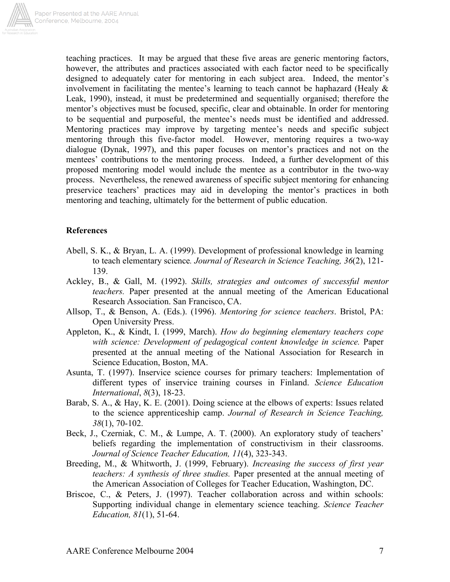

teaching practices. It may be argued that these five areas are generic mentoring factors, however, the attributes and practices associated with each factor need to be specifically designed to adequately cater for mentoring in each subject area. Indeed, the mentor's involvement in facilitating the mentee's learning to teach cannot be haphazard (Healy  $\&$ Leak, 1990), instead, it must be predetermined and sequentially organised; therefore the mentor's objectives must be focused, specific, clear and obtainable. In order for mentoring to be sequential and purposeful, the mentee's needs must be identified and addressed. Mentoring practices may improve by targeting mentee's needs and specific subject mentoring through this five-factor model. However, mentoring requires a two-way dialogue (Dynak, 1997), and this paper focuses on mentor's practices and not on the mentees' contributions to the mentoring process. Indeed, a further development of this proposed mentoring model would include the mentee as a contributor in the two-way process. Nevertheless, the renewed awareness of specific subject mentoring for enhancing preservice teachers' practices may aid in developing the mentor's practices in both mentoring and teaching, ultimately for the betterment of public education.

#### **References**

- Abell, S. K., & Bryan, L. A. (1999). Development of professional knowledge in learning to teach elementary science*. Journal of Research in Science Teaching, 36*(2), 121- 139.
- Ackley, B., & Gall, M. (1992). *Skills, strategies and outcomes of successful mentor teachers.* Paper presented at the annual meeting of the American Educational Research Association. San Francisco, CA.
- Allsop, T., & Benson, A. (Eds.). (1996). *Mentoring for science teachers*. Bristol, PA: Open University Press.
- Appleton, K., & Kindt, I. (1999, March). *How do beginning elementary teachers cope with science: Development of pedagogical content knowledge in science.* Paper presented at the annual meeting of the National Association for Research in Science Education, Boston, MA.
- Asunta, T. (1997). Inservice science courses for primary teachers: Implementation of different types of inservice training courses in Finland. *Science Education International*, *8*(3), 18-23.
- Barab, S. A., & Hay, K. E. (2001). Doing science at the elbows of experts: Issues related to the science apprenticeship camp. *Journal of Research in Science Teaching, 38*(1), 70-102.
- Beck, J., Czerniak, C. M., & Lumpe, A. T. (2000). An exploratory study of teachers' beliefs regarding the implementation of constructivism in their classrooms. *Journal of Science Teacher Education, 11*(4), 323-343.
- Breeding, M., & Whitworth, J. (1999, February). *Increasing the success of first year teachers: A synthesis of three studies.* Paper presented at the annual meeting of the American Association of Colleges for Teacher Education, Washington, DC.
- Briscoe, C., & Peters, J. (1997). Teacher collaboration across and within schools: Supporting individual change in elementary science teaching. *Science Teacher Education, 81*(1), 51-64.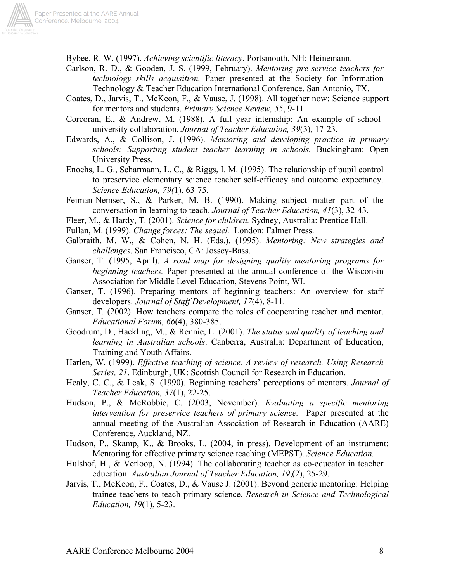

Bybee, R. W. (1997). *Achieving scientific literacy*. Portsmouth, NH: Heinemann.

- Carlson, R. D., & Gooden, J. S. (1999, February). *Mentoring pre-service teachers for technology skills acquisition.* Paper presented at the Society for Information Technology & Teacher Education International Conference, San Antonio, TX.
- Coates, D., Jarvis, T., McKeon, F., & Vause, J. (1998). All together now: Science support for mentors and students. *Primary Science Review, 55*, 9-11.
- Corcoran, E., & Andrew, M. (1988). A full year internship: An example of schooluniversity collaboration. *Journal of Teacher Education, 39*(3)*,* 17-23.
- Edwards, A., & Collison, J. (1996). *Mentoring and developing practice in primary schools: Supporting student teacher learning in schools.* Buckingham: Open University Press.
- Enochs, L. G., Scharmann, L. C., & Riggs, I. M. (1995). The relationship of pupil control to preservice elementary science teacher self-efficacy and outcome expectancy. *Science Education, 79(*1), 63-75.
- Feiman-Nemser, S., & Parker, M. B. (1990). Making subject matter part of the conversation in learning to teach. *Journal of Teacher Education, 41*(3), 32-43.
- Fleer, M., & Hardy, T. (2001). *Science for children.* Sydney, Australia: Prentice Hall.
- Fullan, M. (1999). *Change forces: The sequel.* London: Falmer Press.
- Galbraith, M. W., & Cohen, N. H. (Eds.). (1995). *Mentoring: New strategies and challenges*. San Francisco, CA: Jossey-Bass.
- Ganser, T. (1995, April). *A road map for designing quality mentoring programs for beginning teachers.* Paper presented at the annual conference of the Wisconsin Association for Middle Level Education, Stevens Point, WI.
- Ganser, T. (1996). Preparing mentors of beginning teachers: An overview for staff developers. *Journal of Staff Development, 17*(4), 8-11.
- Ganser, T. (2002). How teachers compare the roles of cooperating teacher and mentor. *Educational Forum, 66*(4), 380-385.
- Goodrum, D., Hackling, M., & Rennie, L. (2001). *The status and quality of teaching and learning in Australian schools*. Canberra, Australia: Department of Education, Training and Youth Affairs.
- Harlen, W. (1999). *Effective teaching of science. A review of research. Using Research Series, 21*. Edinburgh, UK: Scottish Council for Research in Education.
- Healy, C. C., & Leak, S. (1990). Beginning teachers' perceptions of mentors. *Journal of Teacher Education, 37*(1), 22-25.
- Hudson, P., & McRobbie, C. (2003, November). *Evaluating a specific mentoring intervention for preservice teachers of primary science.* Paper presented at the annual meeting of the Australian Association of Research in Education (AARE) Conference, Auckland, NZ.
- Hudson, P., Skamp, K., & Brooks, L. (2004, in press). Development of an instrument: Mentoring for effective primary science teaching (MEPST). *Science Education.*
- Hulshof, H., & Verloop, N. (1994). The collaborating teacher as co-educator in teacher education. *Australian Journal of Teacher Education, 19*,(2), 25-29.
- Jarvis, T., McKeon, F., Coates, D., & Vause J. (2001). Beyond generic mentoring: Helping trainee teachers to teach primary science. *Research in Science and Technological Education, 19*(1), 5-23.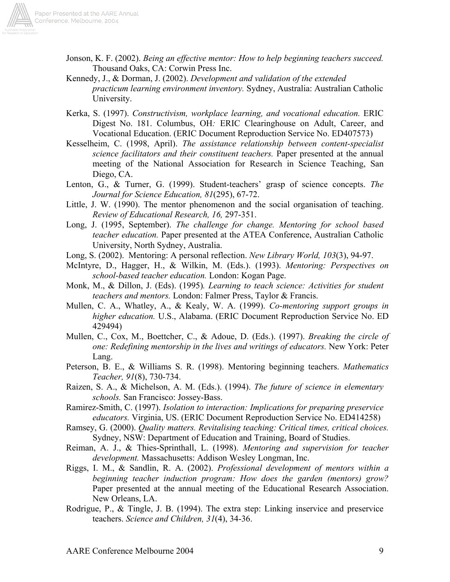

- Jonson, K. F. (2002). *Being an effective mentor: How to help beginning teachers succeed.* Thousand Oaks, CA: Corwin Press Inc.
- Kennedy, J., & Dorman, J. (2002). *Development and validation of the extended practicum learning environment inventory.* Sydney, Australia: Australian Catholic University.
- Kerka, S. (1997). *Constructivism, workplace learning, and vocational education.* ERIC Digest No. 181. Columbus, OH*:* ERIC Clearinghouse on Adult, Career, and Vocational Education. (ERIC Document Reproduction Service No. ED407573)
- Kesselheim, C. (1998, April). *The assistance relationship between content-specialist science facilitators and their constituent teachers.* Paper presented at the annual meeting of the National Association for Research in Science Teaching, San Diego, CA.
- Lenton, G., & Turner, G. (1999). Student-teachers' grasp of science concepts. *The Journal for Science Education, 81*(295), 67-72.
- Little, J. W. (1990). The mentor phenomenon and the social organisation of teaching. *Review of Educational Research, 16,* 297-351.
- Long, J. (1995, September). *The challenge for change. Mentoring for school based teacher education.* Paper presented at the ATEA Conference, Australian Catholic University, North Sydney, Australia.
- Long, S. (2002). Mentoring: A personal reflection. *New Library World, 103*(3), 94-97.
- McIntyre, D., Hagger, H., & Wilkin, M. (Eds.). (1993). *Mentoring: Perspectives on school-based teacher education.* London: Kogan Page.
- Monk, M., & Dillon, J. (Eds). (1995)*. Learning to teach science: Activities for student teachers and mentors.* London: Falmer Press, Taylor & Francis.
- Mullen, C. A., Whatley, A., & Kealy, W. A. (1999). *Co-mentoring support groups in higher education.* U.S., Alabama. (ERIC Document Reproduction Service No. ED 429494)
- Mullen, C., Cox, M., Boettcher, C., & Adoue, D. (Eds.). (1997). *Breaking the circle of one: Redefining mentorship in the lives and writings of educators.* New York: Peter Lang.
- Peterson, B. E., & Williams S. R. (1998). Mentoring beginning teachers. *Mathematics Teacher, 91*(8), 730-734.
- Raizen, S. A., & Michelson, A. M. (Eds.). (1994). *The future of science in elementary schools.* San Francisco: Jossey-Bass.
- Ramirez-Smith, C. (1997). *Isolation to interaction: Implications for preparing preservice educators.* Virginia, US. (ERIC Document Reproduction Service No. ED414258)
- Ramsey, G. (2000). *Quality matters. Revitalising teaching: Critical times, critical choices.*  Sydney, NSW: Department of Education and Training, Board of Studies.
- Reiman, A. J., & Thies-Sprinthall, L. (1998). *Mentoring and supervision for teacher development.* Massachusetts: Addison Wesley Longman, Inc.
- Riggs, I. M., & Sandlin, R. A. (2002). *Professional development of mentors within a beginning teacher induction program: How does the garden (mentors) grow?* Paper presented at the annual meeting of the Educational Research Association. New Orleans, LA.
- Rodrigue, P., & Tingle, J. B. (1994). The extra step: Linking inservice and preservice teachers. *Science and Children, 31*(4), 34-36.